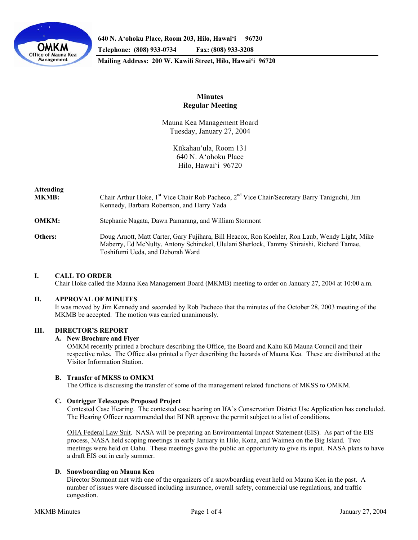

**640 N. A'ohoku Place, Room 203, Hilo, Hawai'i 96720** 

**Telephone: (808) 933-0734 Fax: (808) 933-3208** 

**Mailing Address: 200 W. Kawili Street, Hilo, Hawai'i 96720** 

# **Minutes Regular Meeting**

Mauna Kea Management Board Tuesday, January 27, 2004

> Kūkahau'ula, Room 131 640 N. A'ohoku Place Hilo, Hawai'i 96720

# **Attending**

**MKMB:** Chair Arthur Hoke, 1<sup>st</sup> Vice Chair Rob Pacheco, 2<sup>nd</sup> Vice Chair/Secretary Barry Taniguchi, Jim Kennedy, Barbara Robertson, and Harry Yada

**OMKM:** Stephanie Nagata, Dawn Pamarang, and William Stormont

**Others:** Doug Arnott, Matt Carter, Gary Fujihara, Bill Heacox, Ron Koehler, Ron Laub, Wendy Light, Mike Maberry, Ed McNulty, Antony Schinckel, Ululani Sherlock, Tammy Shiraishi, Richard Tamae, Toshifumi Ueda, and Deborah Ward

# **I. CALL TO ORDER**

Chair Hoke called the Mauna Kea Management Board (MKMB) meeting to order on January 27, 2004 at 10:00 a.m.

#### **II. APPROVAL OF MINUTES**

 It was moved by Jim Kennedy and seconded by Rob Pacheco that the minutes of the October 28, 2003 meeting of the MKMB be accepted. The motion was carried unanimously.

#### **III. DIRECTOR'S REPORT**

#### **A. New Brochure and Flyer**

 OMKM recently printed a brochure describing the Office, the Board and Kahu Kū Mauna Council and their respective roles. The Office also printed a flyer describing the hazards of Mauna Kea. These are distributed at the Visitor Information Station.

#### **B. Transfer of MKSS to OMKM**

The Office is discussing the transfer of some of the management related functions of MKSS to OMKM.

#### **C. Outrigger Telescopes Proposed Project**

 Contested Case Hearing. The contested case hearing on IfA's Conservation District Use Application has concluded. The Hearing Officer recommended that BLNR approve the permit subject to a list of conditions.

OHA Federal Law Suit. NASA will be preparing an Environmental Impact Statement (EIS). As part of the EIS process, NASA held scoping meetings in early January in Hilo, Kona, and Waimea on the Big Island. Two meetings were held on Oahu. These meetings gave the public an opportunity to give its input. NASA plans to have a draft EIS out in early summer.

#### **D. Snowboarding on Mauna Kea**

 Director Stormont met with one of the organizers of a snowboarding event held on Mauna Kea in the past. A number of issues were discussed including insurance, overall safety, commercial use regulations, and traffic congestion.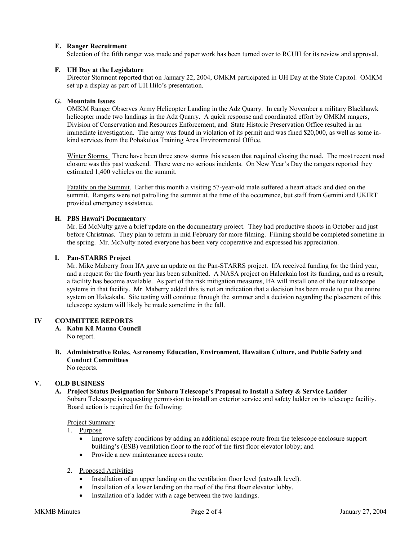#### **E. Ranger Recruitment**

Selection of the fifth ranger was made and paper work has been turned over to RCUH for its review and approval.

#### **F. UH Day at the Legislature**

Director Stormont reported that on January 22, 2004, OMKM participated in UH Day at the State Capitol. OMKM set up a display as part of UH Hilo's presentation.

#### **G. Mountain Issues**

OMKM Ranger Observes Army Helicopter Landing in the Adz Quarry. In early November a military Blackhawk helicopter made two landings in the Adz Quarry. A quick response and coordinated effort by OMKM rangers, Division of Conservation and Resources Enforcement, and State Historic Preservation Office resulted in an immediate investigation. The army was found in violation of its permit and was fined \$20,000, as well as some inkind services from the Pohakuloa Training Area Environmental Office.

Winter Storms. There have been three snow storms this season that required closing the road. The most recent road closure was this past weekend. There were no serious incidents. On New Year's Day the rangers reported they estimated 1,400 vehicles on the summit.

Fatality on the Summit. Earlier this month a visiting 57-year-old male suffered a heart attack and died on the summit. Rangers were not patrolling the summit at the time of the occurrence, but staff from Gemini and UKIRT provided emergency assistance.

#### **H. PBS Hawai'i Documentary**

Mr. Ed McNulty gave a brief update on the documentary project. They had productive shoots in October and just before Christmas. They plan to return in mid February for more filming. Filming should be completed sometime in the spring. Mr. McNulty noted everyone has been very cooperative and expressed his appreciation.

#### **I. Pan-STARRS Project**

Mr. Mike Maberry from IfA gave an update on the Pan-STARRS project. IfA received funding for the third year, and a request for the fourth year has been submitted. A NASA project on Haleakala lost its funding, and as a result, a facility has become available. As part of the risk mitigation measures, IfA will install one of the four telescope systems in that facility. Mr. Maberry added this is not an indication that a decision has been made to put the entire system on Haleakala. Site testing will continue through the summer and a decision regarding the placement of this telescope system will likely be made sometime in the fall.

#### **IV COMMITTEE REPORTS**

- **A. Kahu Kū Mauna Council** No report.
- **B. Administrative Rules, Astronomy Education, Environment, Hawaiian Culture, and Public Safety and Conduct Committees**  No reports.

#### **V. OLD BUSINESS**

**A. Project Status Designation for Subaru Telescope's Proposal to Install a Safety & Service Ladder**  Subaru Telescope is requesting permission to install an exterior service and safety ladder on its telescope facility. Board action is required for the following:

#### Project Summary

- 1. Purpose
	- Improve safety conditions by adding an additional escape route from the telescope enclosure support building's (ESB) ventilation floor to the roof of the first floor elevator lobby; and
	- Provide a new maintenance access route.
- 2. Proposed Activities
	- Installation of an upper landing on the ventilation floor level (catwalk level).
	- Installation of a lower landing on the roof of the first floor elevator lobby.
	- Installation of a ladder with a cage between the two landings.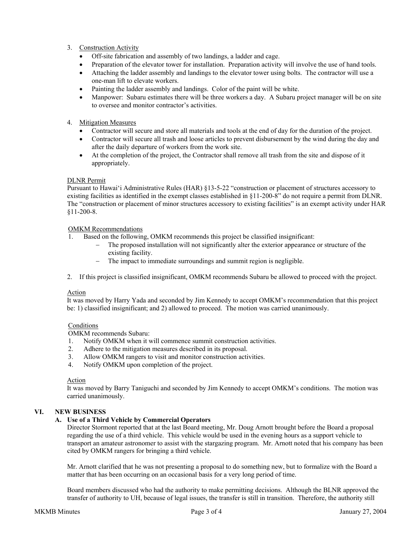#### 3. Construction Activity

- Off-site fabrication and assembly of two landings, a ladder and cage.
- Preparation of the elevator tower for installation. Preparation activity will involve the use of hand tools.
- Attaching the ladder assembly and landings to the elevator tower using bolts. The contractor will use a one-man lift to elevate workers.
- Painting the ladder assembly and landings. Color of the paint will be white.
- Manpower: Subaru estimates there will be three workers a day. A Subaru project manager will be on site to oversee and monitor contractor's activities.

## 4. Mitigation Measures

- Contractor will secure and store all materials and tools at the end of day for the duration of the project.
- Contractor will secure all trash and loose articles to prevent disbursement by the wind during the day and after the daily departure of workers from the work site.
- At the completion of the project, the Contractor shall remove all trash from the site and dispose of it appropriately.

#### DLNR Permit

Pursuant to Hawai'i Administrative Rules (HAR) §13-5-22 "construction or placement of structures accessory to existing facilities as identified in the exempt classes established in §11-200-8" do not require a permit from DLNR. The "construction or placement of minor structures accessory to existing facilities" is an exempt activity under HAR §11-200-8.

## OMKM Recommendations

- 1. Based on the following, OMKM recommends this project be classified insignificant:
	- − The proposed installation will not significantly alter the exterior appearance or structure of the existing facility.
	- − The impact to immediate surroundings and summit region is negligible.
- 2. If this project is classified insignificant, OMKM recommends Subaru be allowed to proceed with the project.

#### Action

It was moved by Harry Yada and seconded by Jim Kennedy to accept OMKM's recommendation that this project be: 1) classified insignificant; and 2) allowed to proceed. The motion was carried unanimously.

# **Conditions**

OMKM recommends Subaru:

- 1. Notify OMKM when it will commence summit construction activities.
- 2. Adhere to the mitigation measures described in its proposal.
- 3. Allow OMKM rangers to visit and monitor construction activities.
- 4. Notify OMKM upon completion of the project.

#### Action

It was moved by Barry Taniguchi and seconded by Jim Kennedy to accept OMKM's conditions. The motion was carried unanimously.

# **VI. NEW BUSINESS**

# **A. Use of a Third Vehicle by Commercial Operators**

Director Stormont reported that at the last Board meeting, Mr. Doug Arnott brought before the Board a proposal regarding the use of a third vehicle. This vehicle would be used in the evening hours as a support vehicle to transport an amateur astronomer to assist with the stargazing program. Mr. Arnott noted that his company has been cited by OMKM rangers for bringing a third vehicle.

Mr. Arnott clarified that he was not presenting a proposal to do something new, but to formalize with the Board a matter that has been occurring on an occasional basis for a very long period of time.

Board members discussed who had the authority to make permitting decisions. Although the BLNR approved the transfer of authority to UH, because of legal issues, the transfer is still in transition. Therefore, the authority still